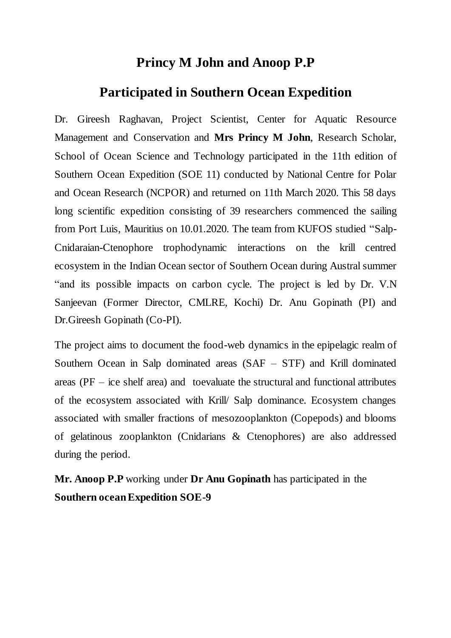## **Princy M John and Anoop P.P**

## **Participated in Southern Ocean Expedition**

Dr. Gireesh Raghavan, Project Scientist, Center for Aquatic Resource Management and Conservation and **Mrs Princy M John**, Research Scholar, School of Ocean Science and Technology participated in the 11th edition of Southern Ocean Expedition (SOE 11) conducted by National Centre for Polar and Ocean Research (NCPOR) and returned on 11th March 2020. This 58 days long scientific expedition consisting of 39 researchers commenced the sailing from Port Luis, Mauritius on 10.01.2020. The team from KUFOS studied "Salp-Cnidaraian-Ctenophore trophodynamic interactions on the krill centred ecosystem in the Indian Ocean sector of Southern Ocean during Austral summer "and its possible impacts on carbon cycle. The project is led by Dr. V.N Sanjeevan (Former Director, CMLRE, Kochi) Dr. Anu Gopinath (PI) and Dr.Gireesh Gopinath (Co-PI).

The project aims to document the food-web dynamics in the epipelagic realm of Southern Ocean in Salp dominated areas (SAF – STF) and Krill dominated areas (PF – ice shelf area) and toevaluate the structural and functional attributes of the ecosystem associated with Krill/ Salp dominance. Ecosystem changes associated with smaller fractions of mesozooplankton (Copepods) and blooms of gelatinous zooplankton (Cnidarians & Ctenophores) are also addressed during the period.

**Mr. Anoop P.P** working under **Dr Anu Gopinath** has participated in the **Southern ocean Expedition SOE-9**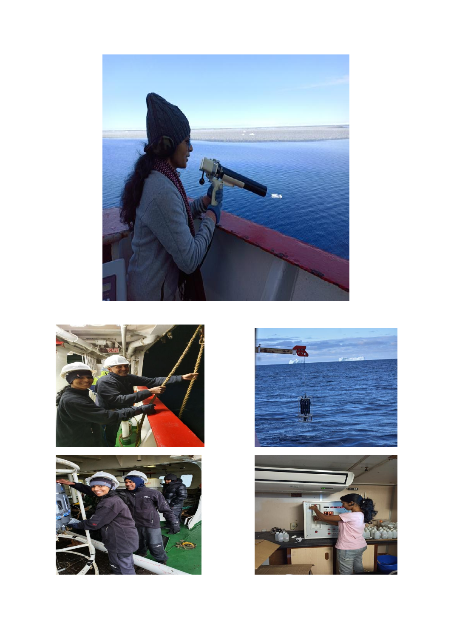







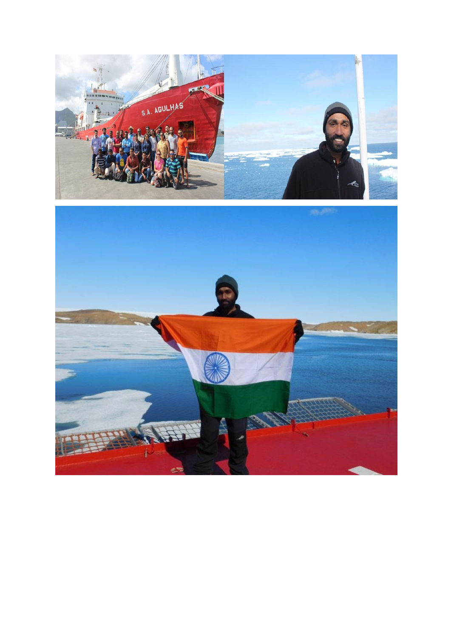